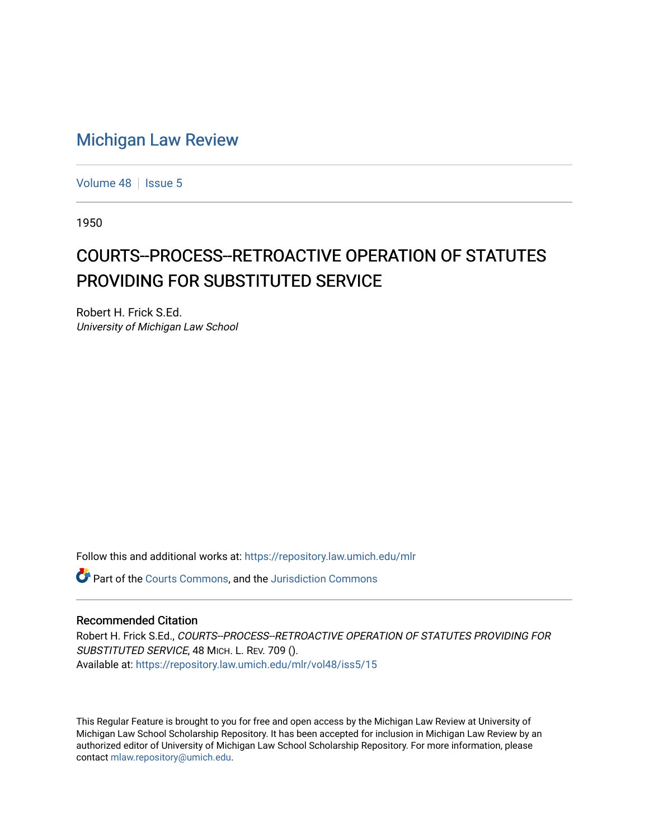## [Michigan Law Review](https://repository.law.umich.edu/mlr)

[Volume 48](https://repository.law.umich.edu/mlr/vol48) | [Issue 5](https://repository.law.umich.edu/mlr/vol48/iss5)

1950

## COURTS--PROCESS--RETROACTIVE OPERATION OF STATUTES PROVIDING FOR SUBSTITUTED SERVICE

Robert H. Frick S.Ed. University of Michigan Law School

Follow this and additional works at: [https://repository.law.umich.edu/mlr](https://repository.law.umich.edu/mlr?utm_source=repository.law.umich.edu%2Fmlr%2Fvol48%2Fiss5%2F15&utm_medium=PDF&utm_campaign=PDFCoverPages) 

Part of the [Courts Commons,](http://network.bepress.com/hgg/discipline/839?utm_source=repository.law.umich.edu%2Fmlr%2Fvol48%2Fiss5%2F15&utm_medium=PDF&utm_campaign=PDFCoverPages) and the [Jurisdiction Commons](http://network.bepress.com/hgg/discipline/850?utm_source=repository.law.umich.edu%2Fmlr%2Fvol48%2Fiss5%2F15&utm_medium=PDF&utm_campaign=PDFCoverPages)

## Recommended Citation

Robert H. Frick S.Ed., COURTS--PROCESS--RETROACTIVE OPERATION OF STATUTES PROVIDING FOR SUBSTITUTED SERVICE, 48 MICH. L. REV. 709 (). Available at: [https://repository.law.umich.edu/mlr/vol48/iss5/15](https://repository.law.umich.edu/mlr/vol48/iss5/15?utm_source=repository.law.umich.edu%2Fmlr%2Fvol48%2Fiss5%2F15&utm_medium=PDF&utm_campaign=PDFCoverPages) 

This Regular Feature is brought to you for free and open access by the Michigan Law Review at University of Michigan Law School Scholarship Repository. It has been accepted for inclusion in Michigan Law Review by an authorized editor of University of Michigan Law School Scholarship Repository. For more information, please contact [mlaw.repository@umich.edu](mailto:mlaw.repository@umich.edu).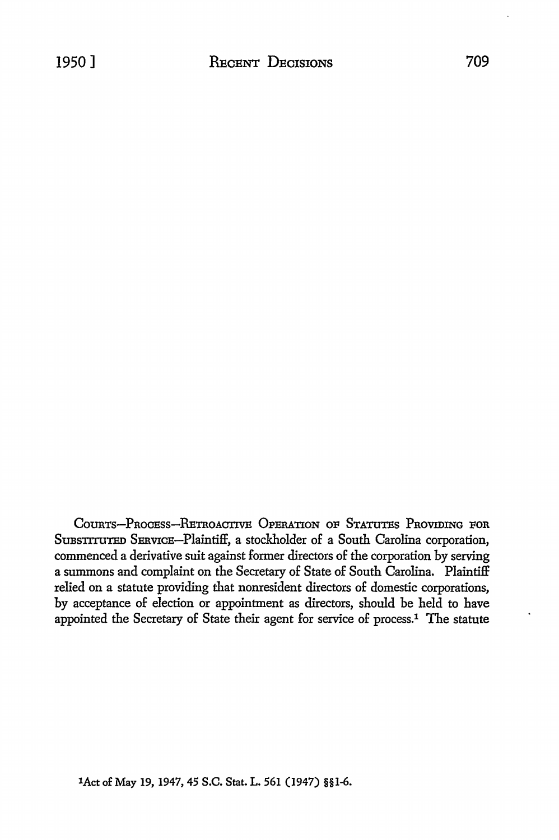COURTS-PROCESS-RETROACTIVE OPERATION OF STATUTES PROVIDING FOR SUBSTITUTED SERVICE-Plaintiff, a stockholder of a South Carolina corporation, commenced a derivative suit against former directors of the corporation by serving a summons and complaint on the Secretary of State of South Carolina. Plaintiff relied on a statute providing that nonresident directors of domestic corporations, by acceptance of election or appointment as directors, should be held to have appointed the Secretary of State their agent for service of process.1 The statute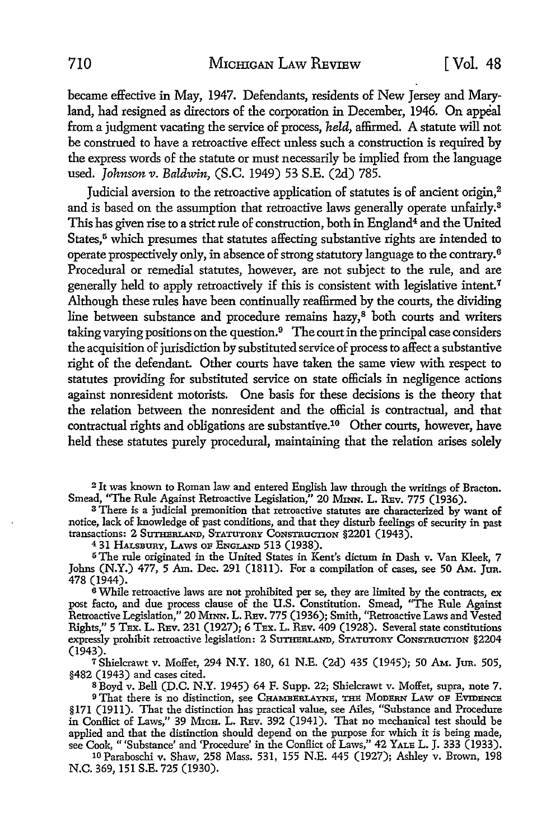became effective in May, 1947. Defendants, residents of New Jersey and Maryland, had resigned as directors of the corporation in December, 1946. On appeal from a judgment vacating the service of process, *held,* affirmed. A statute will not be construed to have a retroactive effect unless such a construction is required by the express words of the statute or must necessarily be implied from the language used. *Johnson v. Baldwin*, *(S.C. 1949)* 53 S.E. (2d) 785.

Judicial aversion to the retroactive application of statutes is of ancient origin,<sup>2</sup> and is based on the assumption that retroactive laws generally operate unfairly.<sup>3</sup> This has given rise to a strict rule of construction, both in England<sup>4</sup> and the United States,<sup>5</sup> which presumes that statutes affecting substantive rights are intended to operate prospectively only, in absence of strong statutory language to the contrary. <sup>6</sup> Procedural or remedial statutes, however, are not subject to the rule, and are generally held to apply retroactively if this is consistent with legislative intent.<sup>7</sup> Although these rules have been continually reaffirmed by the courts, the dividing line between substance and procedure remains hazy,<sup>8</sup> both courts and writers taking varying positions on the question. 9 The court in the principal case considers the acquisition of jurisdiction by substituted service of process to affect a substantive right of the defendant. Other courts have taken the same view with respect to statutes providing for substituted service on state officials in negligence actions against nonresident motorists. One basis for these decisions is the theory that the relation between the nonresident and the official is contractual, and that contractual rights and obligations are substantive.10 Other courts, however, have held these statutes purely procedural, maintaining that the relation arises solely

<sup>2</sup>It was known to Roman law and entered English law through the writings of Bracton. Smead, "The Rule Against Retroactive Legislation," 20 MINN. L. REv. 775 (1936).

<sup>3</sup> There is a judicial premonition that retroactive statutes are characterized by want of notice, lack of knowledge of past conditions, and that they disturb feelings of security in past transactions: 2 SUTHERLAND, STATUTORY CONSTRUCTION §2201 (1943).

<sup>4</sup>31 HALSBURY, LAws oF ENGLAND 513 (1938).

5The rule originated in the United States in Kent's dictum in Dash v. Van Kleek, 7 Johns (N.Y.) 477, 5 Am. Dec. 291 (1811). For a compilation of cases, see 50 Am. Jun. 478 (1944).

<sup>6</sup> While retroactive laws are not prohibited per se, they are limited by the contracts, ex post facto, and due process clause of the U.S. Constitution. Smead, "The Rule Against Retroactive Legislation," 20 MINN. L. REv. 775 (1936); Smith, ''Retroactive Laws and Vested Rights," 5 Tmr. L. REv. 231 (1927); 6 TEx. L. REv. 409 (1928). Several state constitutions expressly prohibit retroactive legislation: 2 SunmRLAND, STATUTORY CoNSTRUCTION §2204 (1943).

<sup>7</sup>Shielcrawt v. Moffet, 294 N.Y. 180, 61 N.E. (2d) 435 (1945); 50 AM. Jun. 505, §482 (1943) and cases cited.

s Boyd v. Bell (D.C. N.Y. 1945) 64 F. Supp. 22; Shielcrawt v. Moffet, supra, note 7. 9 That there is no distinction, see CHAMBERLAYNE, THE MODERN LAW OF EVIDENCE §171 (1911). That the distinction has practical value, see Ailes, "Substance and Procedure in Conflict of Laws," 39 MicH. L. REv. 392 (1941). That no mechanical test should be applied and that the distinction should depend on the purpose for which it is being made, see Cook," 'Substance' and 'Procedure' in the Conflict of Laws," 42 YALE L. J. 333 (1933).

10 Paraboschi v. Shaw, 258 Mass. 531, 155 N.E. 445 (1927); Ashley v. Brown, 198 N.C. 369, 151 S.E. 725 (1930).